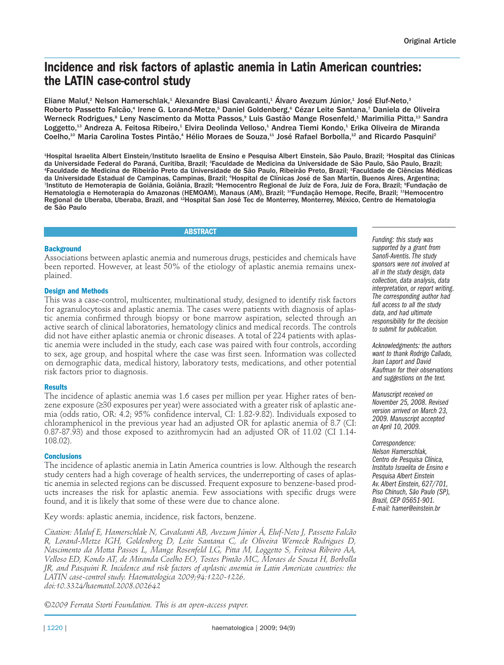# **Incidence and risk factors of aplastic anemia in Latin American countries: the LATIN case-control study**

Eliane Maluf,<sup>2</sup> Nelson Hamerschlak,<sup>1</sup> Alexandre Biasi Cavalcanti,<sup>1</sup> Álvaro Avezum Júnior,<sup>1</sup> José Eluf-Neto,<sup>3</sup> Roberto Passetto Falcão,<sup>4</sup> Irene G. Lorand-Metze,<sup>5</sup> Daniel Goldenberg,<sup>6</sup> Cézar Leite Santana,7 Daniela de Oliveira Werneck Rodrigues,<sup>8</sup> Leny Nascimento da Motta Passos,<sup>9</sup> Luis Gastão Mange Rosenfeld,<sup>1</sup> Marimilia Pitta,<sup>13</sup> Sandra Loggetto,<sup>13</sup> Andreza A. Feitosa Ribeiro,<sup>1</sup> Elvira Deolinda Velloso,<sup>1</sup> Andrea Tiemi Kondo,<sup>1</sup> Erika Oliveira de Miranda Coelho,<sup>10</sup> Maria Carolina Tostes Pintão,<sup>4</sup> Hélio Moraes de Souza,<sup>11</sup> José Rafael Borbolla,<sup>12</sup> and Ricardo Pasquini<sup>2</sup>

1 Hospital Israelita Albert Einstein/Instituto Israelita de Ensino e Pesquisa Albert Einstein, São Paulo, Brazil; 2 Hospital das Clínicas da Universidade Federal do Paraná, Curitiba, Brazil; <sup>3</sup>Faculdade de Medicina da Universidade de São Paulo, São Paulo, Brazil; 4 Faculdade de Medicina de Ribeirão Preto da Universidade de São Paulo, Ribeirão Preto, Brazil; 5 Faculdade de Ciências Médicas da Universidade Estadual de Campinas, Campinas, Brazil; <sup>e</sup>Hospital de Clínicas José de San Martín, Buenos Aires, Argentina; <sup>7</sup>Instituto de Hemoterapia de Goiânia, Goiânia, Brazil; <sup>s</sup>Hemocentro Regional de Juiz de Fora, Juiz de Fora, Brazil; <sup>s</sup>Fundação de Hematologia e Hemoterapia do Amazonas (HEMOAM), Manaus (AM), Brazil; <sup>10</sup>Fundação Hemope, Recife, Brazil; <sup>11</sup>Hemocentro Regional de Uberaba, Uberaba, Brazil, and <sup>12</sup>Hospital San José Tec de Monterrey, Monterrey, México, Centro de Hematologia de São Paulo

### **ABSTRACT**

# **Background**

Associations between aplastic anemia and numerous drugs, pesticides and chemicals have been reported. However, at least 50% of the etiology of aplastic anemia remains unexplained.

## **Design and Methods**

This was a case-control, multicenter, multinational study, designed to identify risk factors for agranulocytosis and aplastic anemia. The cases were patients with diagnosis of aplastic anemia confirmed through biopsy or bone marrow aspiration, selected through an active search of clinical laboratories, hematology clinics and medical records. The controls did not have either aplastic anemia or chronic diseases. A total of 224 patients with aplastic anemia were included in the study, each case was paired with four controls, according to sex, age group, and hospital where the case was first seen. Information was collected on demographic data, medical history, laboratory tests, medications, and other potential risk factors prior to diagnosis.

# **Results**

The incidence of aplastic anemia was 1.6 cases per million per year. Higher rates of benzene exposure (≥30 exposures per year) were associated with a greater risk of aplastic anemia (odds ratio, OR: 4.2; 95% confidence interval, CI: 1.82-9.82). Individuals exposed to chloramphenicol in the previous year had an adjusted OR for aplastic anemia of 8.7 (CI: 0.87-87.93) and those exposed to azithromycin had an adjusted OR of 11.02 (CI 1.14- 108.02).

# **Conclusions**

The incidence of aplastic anemia in Latin America countries is low. Although the research study centers had a high coverage of health services, the underreporting of cases of aplastic anemia in selected regions can be discussed. Frequent exposure to benzene-based products increases the risk for aplastic anemia. Few associations with specific drugs were found, and it is likely that some of these were due to chance alone.

Key words: aplastic anemia, incidence, risk factors, benzene.

*Citation: Maluf E, Hamerschlak N, Cavalcanti AB, Avezum Júnior Á, Eluf-Neto J, Passetto Falcão R, Lorand-Metze IGH, Goldenberg D, Leite Santana C, de Oliveira Werneck Rodrigues D, Nascimento da Motta Passos L, Mange Rosenfeld LG, Pitta M, Loggetto S, Feitosa Ribeiro AA, Velloso ED, Kondo AT, de Miranda Coelho EO, Tostes Pintão MC, Moraes de Souza H, Borbolla JR, and Pasquini R. Incidence and risk factors of aplastic anemia in Latin American countries: the LATIN case-control study. Haematologica 2009;94:1220-1226. doi:10.3324/haematol.2008.002642*

*©2009 Ferrata Storti Foundation. This is an open-access paper.* 

*Funding: this study was supported by a grant from Sanofi-Aventis. The study sponsors were not involved at all in the study design, data collection, data analysis, data interpretation, or report writing. The corresponding author had full access to all the study data, and had ultimate responsibility for the decision to submit for publication.*

*Acknowledgments: the authors want to thank Rodrigo Callado, Joan Laport and David Kaufman for their observations and suggestions on the text.*

*Manuscript received on November 25, 2008. Revised version arrived on March 23, 2009. Manuscript accepted on April 10, 2009.*

*Correspondence: Nelson Hamerschlak, Centro de Pesquisa Clínica, Instituto Israelita de Ensino e Pesquisa Albert Einstein Av. Albert Einstein, 627/701, Piso Chinuch, São Paulo (SP), Brazil, CEP 05651-901. E-mail: hamer@einstein.br*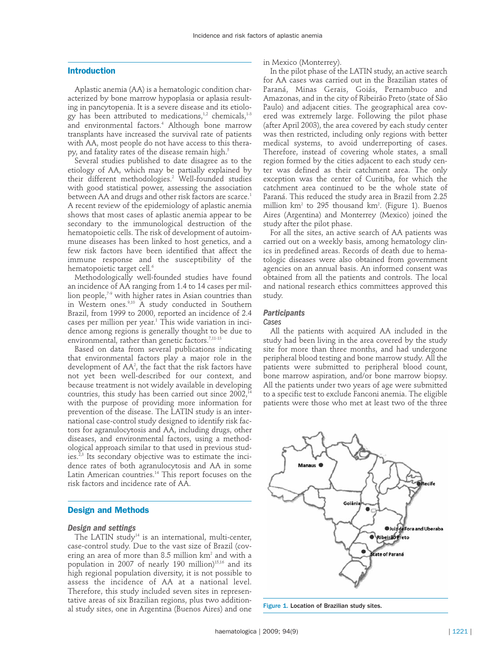## **Introduction**

Aplastic anemia (AA) is a hematologic condition characterized by bone marrow hypoplasia or aplasia resulting in pancytopenia. It is a severe disease and its etiology has been attributed to medications, $1,2$  chemicals, $1,3$ and environmental factors.<sup>4</sup> Although bone marrow transplants have increased the survival rate of patients with AA, most people do not have access to this therapy, and fatality rates of the disease remain high.<sup>5</sup>

Several studies published to date disagree as to the etiology of AA, which may be partially explained by their different methodologies.<sup>2</sup> Well-founded studies with good statistical power, assessing the association between AA and drugs and other risk factors are scarce.<sup>1</sup> A recent review of the epidemiology of aplastic anemia shows that most cases of aplastic anemia appear to be secondary to the immunological destruction of the hematopoietic cells. The risk of development of autoimmune diseases has been linked to host genetics, and a few risk factors have been identified that affect the immune response and the susceptibility of the hematopoietic target cell.<sup>6</sup>

Methodologically well-founded studies have found an incidence of AA ranging from 1.4 to 14 cases per million people, $7-9$  with higher rates in Asian countries than in Western ones.<sup>9,10</sup> A study conducted in Southern Brazil, from 1999 to 2000, reported an incidence of 2.4 cases per million per year.<sup>1</sup> This wide variation in incidence among regions is generally thought to be due to environmental, rather than genetic factors. $7,11-13$ 

Based on data from several publications indicating that environmental factors play a major role in the development of AA $^2$ , the fact that the risk factors have not yet been well-described for our context, and because treatment is not widely available in developing countries, this study has been carried out since  $2002$ ,<sup>14</sup> with the purpose of providing more information for prevention of the disease. The LATIN study is an international case-control study designed to identify risk factors for agranulocytosis and AA, including drugs, other diseases, and environmental factors, using a methodological approach similar to that used in previous studies.2,3 Its secondary objective was to estimate the incidence rates of both agranulocytosis and AA in some Latin American countries.<sup>14</sup> This report focuses on the risk factors and incidence rate of AA.

## **Design and Methods**

## *Design and settings*

The LATIN study<sup>14</sup> is an international, multi-center, case-control study. Due to the vast size of Brazil (covering an area of more than 8.5 million  $km^2$  and with a population in 2007 of nearly 190 million)<sup>15,16</sup> and its high regional population diversity, it is not possible to assess the incidence of AA at a national level. Therefore, this study included seven sites in representative areas of six Brazilian regions, plus two additional study sites, one in Argentina (Buenos Aires) and one in Mexico (Monterrey).

In the pilot phase of the LATIN study, an active search for AA cases was carried out in the Brazilian states of Paraná, Minas Gerais, Goiás, Pernambuco and Amazonas, and in the city of Ribeirão Preto (state of São Paulo) and adjacent cities. The geographical area covered was extremely large. Following the pilot phase (after April 2003), the area covered by each study center was then restricted, including only regions with better medical systems, to avoid underreporting of cases. Therefore, instead of covering whole states, a small region formed by the cities adjacent to each study center was defined as their catchment area. The only exception was the center of Curitiba, for which the catchment area continued to be the whole state of Paraná. This reduced the study area in Brazil from 2.25 million km2 to 295 thousand km2 . (Figure 1). Buenos Aires (Argentina) and Monterrey (Mexico) joined the study after the pilot phase.

For all the sites, an active search of AA patients was carried out on a weekly basis, among hematology clinics in predefined areas. Records of death due to hematologic diseases were also obtained from government agencies on an annual basis. An informed consent was obtained from all the patients and controls. The local and national research ethics committees approved this study.

## *Participants*

#### *Cases*

All the patients with acquired AA included in the study had been living in the area covered by the study site for more than three months, and had undergone peripheral blood testing and bone marrow study. All the patients were submitted to peripheral blood count, bone marrow aspiration, and/or bone marrow biopsy. All the patients under two years of age were submitted to a specific test to exclude Fanconi anemia. The eligible patients were those who met at least two of the three



Figure 1. Location of Brazilian study sites.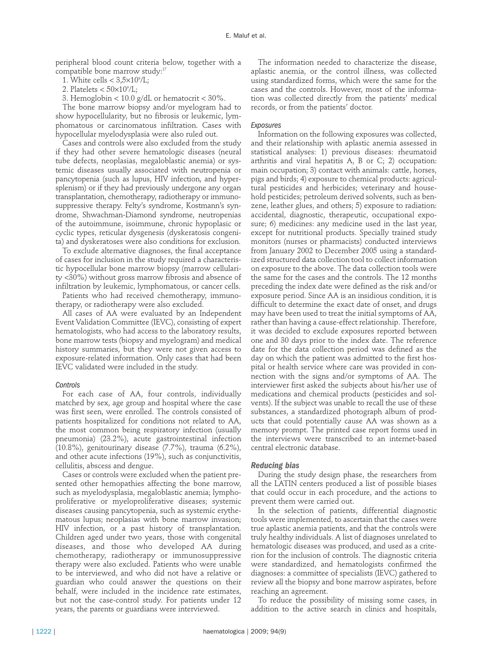peripheral blood count criteria below, together with a compatible bone marrow study:<sup>17</sup>

1. White cells  $< 3.5 \times 10^9/\text{L}$ ;

2. Platelets  $< 50 \times 10^9$ /L;

3. Hemoglobin < 10.0 g/dL or hematocrit < 30%.

The bone marrow biopsy and/or myelogram had to show hypocellularity, but no fibrosis or leukemic, lymphomatous or carcinomatous infiltration. Cases with hypocellular myelodysplasia were also ruled out.

Cases and controls were also excluded from the study if they had other severe hematologic diseases (neural tube defects, neoplasias, megaloblastic anemia) or systemic diseases usually associated with neutropenia or pancytopenia (such as lupus, HIV infection, and hypersplenism) or if they had previously undergone any organ transplantation, chemotherapy, radiotherapy or immunosuppressive therapy. Felty's syndrome, Kostmann's syndrome, Shwachman-Diamond syndrome, neutropenias of the autoimmune, isoimmune, chronic hypoplasic or cyclic types, reticular dysgenesis (dyskeratosis congenita) and dyskeratoses were also conditions for exclusion.

To exclude alternative diagnoses, the final acceptance of cases for inclusion in the study required a characteristic hypocellular bone marrow biopsy (marrow cellularity <30%) without gross marrow fibrosis and absence of infiltration by leukemic, lymphomatous, or cancer cells.

Patients who had received chemotherapy, immunotherapy, or radiotherapy were also excluded.

All cases of AA were evaluated by an Independent Event Validation Committee (IEVC), consisting of expert hematologists, who had access to the laboratory results, bone marrow tests (biopsy and myelogram) and medical history summaries, but they were not given access to exposure-related information. Only cases that had been IEVC validated were included in the study.

#### *Controls*

For each case of AA, four controls, individually matched by sex, age group and hospital where the case was first seen, were enrolled. The controls consisted of patients hospitalized for conditions not related to AA, the most common being respiratory infection (usually pneumonia) (23.2%), acute gastrointestinal infection (10.8%), genitourinary disease (7.7%), trauma (6.2%), and other acute infections (19%), such as conjunctivitis, cellulitis, abscess and dengue.

Cases or controls were excluded when the patient presented other hemopathies affecting the bone marrow, such as myelodysplasia, megaloblastic anemia; lymphoproliferative or myeloproliferative diseases; systemic diseases causing pancytopenia, such as systemic erythematous lupus; neoplasias with bone marrow invasion; HIV infection, or a past history of transplantation. Children aged under two years, those with congenital diseases, and those who developed AA during chemotherapy, radiotherapy or immunosuppressive therapy were also excluded. Patients who were unable to be interviewed, and who did not have a relative or guardian who could answer the questions on their behalf, were included in the incidence rate estimates, but not the case-control study. For patients under 12 years, the parents or guardians were interviewed.

The information needed to characterize the disease, aplastic anemia, or the control illness, was collected using standardized forms, which were the same for the cases and the controls. However, most of the information was collected directly from the patients' medical records, or from the patients' doctor.

#### *Exposures*

Information on the following exposures was collected, and their relationship with aplastic anemia assessed in statistical analyses: 1) previous diseases: rheumatoid arthritis and viral hepatitis A, B or C; 2) occupation: main occupation; 3) contact with animals: cattle, horses, pigs and birds; 4) exposure to chemical products: agricultural pesticides and herbicides; veterinary and household pesticides; petroleum derived solvents, such as benzene, leather glues, and others; 5) exposure to radiation: accidental, diagnostic, therapeutic, occupational exposure; 6) medicines: any medicine used in the last year, except for nutritional products. Specially trained study monitors (nurses or pharmacists) conducted interviews from January 2002 to December 2005 using a standardized structured data collection tool to collect information on exposure to the above. The data collection tools were the same for the cases and the controls. The 12 months preceding the index date were defined as the risk and/or exposure period. Since AA is an insidious condition, it is difficult to determine the exact date of onset, and drugs may have been used to treat the initial symptoms of AA, rather than having a cause-effect relationship. Therefore, it was decided to exclude exposures reported between one and 30 days prior to the index date. The reference date for the data collection period was defined as the day on which the patient was admitted to the first hospital or health service where care was provided in connection with the signs and/or symptoms of AA. The interviewer first asked the subjects about his/her use of medications and chemical products (pesticides and solvents). If the subject was unable to recall the use of these substances, a standardized photograph album of products that could potentially cause AA was shown as a memory prompt. The printed case report forms used in the interviews were transcribed to an internet-based central electronic database.

#### *Reducing bias*

During the study design phase, the researchers from all the LATIN centers produced a list of possible biases that could occur in each procedure, and the actions to prevent them were carried out.

In the selection of patients, differential diagnostic tools were implemented, to ascertain that the cases were true aplastic anemia patients, and that the controls were truly healthy individuals. A list of diagnoses unrelated to hematologic diseases was produced, and used as a criterion for the inclusion of controls. The diagnostic criteria were standardized, and hematologists confirmed the diagnoses: a committee of specialists (IEVC) gathered to review all the biopsy and bone marrow aspirates, before reaching an agreement.

To reduce the possibility of missing some cases, in addition to the active search in clinics and hospitals,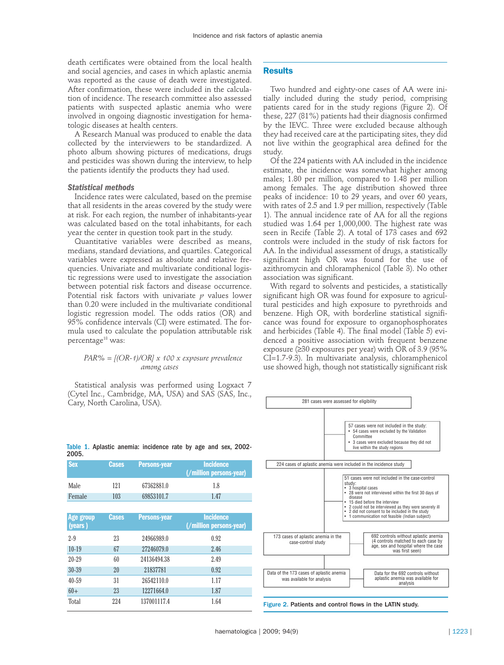death certificates were obtained from the local health and social agencies, and cases in which aplastic anemia was reported as the cause of death were investigated. After confirmation, these were included in the calculation of incidence. The research committee also assessed patients with suspected aplastic anemia who were involved in ongoing diagnostic investigation for hematologic diseases at health centers.

A Research Manual was produced to enable the data collected by the interviewers to be standardized. A photo album showing pictures of medications, drugs and pesticides was shown during the interview, to help the patients identify the products they had used.

#### *Statistical methods*

Incidence rates were calculated, based on the premise that all residents in the areas covered by the study were at risk. For each region, the number of inhabitants-year was calculated based on the total inhabitants, for each year the center in question took part in the study.

Quantitative variables were described as means, medians, standard deviations, and quartiles. Categorical variables were expressed as absolute and relative frequencies. Univariate and multivariate conditional logistic regressions were used to investigate the association between potential risk factors and disease occurrence. Potential risk factors with univariate *p* values lower than 0.20 were included in the multivariate conditional logistic regression model. The odds ratios (OR) and 95% confidence intervals (CI) were estimated. The formula used to calculate the population attributable risk percentage<sup>18</sup> was:

## *PAR% = [(OR-1)/OR] x 100 x exposure prevalence among cases*

Statistical analysis was performed using Logxact 7 (Cytel Inc., Cambridge, MA, USA) and SAS (SAS, Inc., Cary, North Carolina, USA).

Table 1. Aplastic anemia: incidence rate by age and sex, 2002-

#### **Results**

Two hundred and eighty-one cases of AA were initially included during the study period, comprising patients cared for in the study regions (Figure 2). Of these, 227 (81%) patients had their diagnosis confirmed by the IEVC. Three were excluded because although they had received care at the participating sites, they did not live within the geographical area defined for the study.

Of the 224 patients with AA included in the incidence estimate, the incidence was somewhat higher among males; 1.80 per million, compared to 1.48 per million among females. The age distribution showed three peaks of incidence: 10 to 29 years, and over 60 years, with rates of 2.5 and 1.9 per million, respectively (Table 1). The annual incidence rate of AA for all the regions studied was 1.64 per 1,000,000. The highest rate was seen in Recife (Table 2). A total of 173 cases and 692 controls were included in the study of risk factors for AA. In the individual assessment of drugs, a statistically significant high OR was found for the use of azithromycin and chloramphenicol (Table 3). No other association was significant.

With regard to solvents and pesticides, a statistically significant high OR was found for exposure to agricultural pesticides and high exposure to pyrethroids and benzene. High OR, with borderline statistical significance was found for exposure to organophosphorates and herbicides (Table 4). The final model (Table 5) evidenced a positive association with frequent benzene exposure ( $\geq$ 30 exposures per year) with OR of 3.9 (95% CI=1.7-9.3). In multivariate analysis, chloramphenicol use showed high, though not statistically significant risk



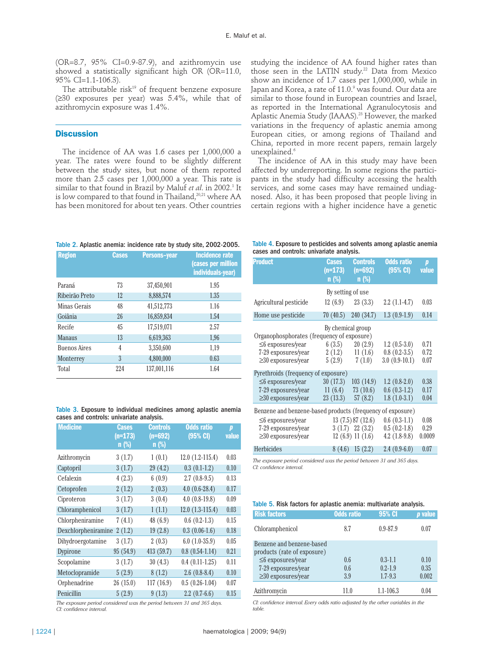(OR=8.7, 95% CI=0.9-87.9), and azithromycin use showed a statistically significant high OR (OR=11.0, 95% CI=1.1-106.3).

The attributable risk<sup>19</sup> of frequent benzene exposure (≥30 exposures per year) was 5.4%, while that of azithromycin exposure was 1.4%.

# **Discussion**

The incidence of AA was 1.6 cases per 1,000,000 a year. The rates were found to be slightly different between the study sites, but none of them reported more than 2.5 cases per 1,000,000 a year. This rate is similar to that found in Brazil by Maluf *et al.* in 2002.<sup>1</sup> It is low compared to that found in Thailand,<sup>20,21</sup> where AA has been monitored for about ten years. Other countries

Table 2. Aplastic anemia: incidence rate by study site, 2002-2005.

| <b>Region</b>       | <b>Cases</b> | <b>Persons-year</b> | <b>Incidence rate</b><br><b>Cases per million</b><br>individuals-year) |
|---------------------|--------------|---------------------|------------------------------------------------------------------------|
| Paraná              | 73           | 37,450,901          | 1.95                                                                   |
| Ribeirão Preto      | 12           | 8,888,574           | 1.35                                                                   |
| Minas Gerais        | 48           | 41,512,773          | 1.16                                                                   |
| Goiânia             | 26           | 16,859,834          | 1.54                                                                   |
| Recife              | 45           | 17,519,071          | 2.57                                                                   |
| <b>Manaus</b>       | 13           | 6,619,363           | 1,96                                                                   |
| <b>Buenos Aires</b> | 4            | 3,350,600           | 1,19                                                                   |
| Monterrey           | 3            | 4,800,000           | 0.63                                                                   |
| Total               | 224          | 137,001,116         | 1.64                                                                   |

|  |  |                                          | Table 3. Exposure to individual medicines among aplastic anemia |  |  |
|--|--|------------------------------------------|-----------------------------------------------------------------|--|--|
|  |  | cases and controls: univariate analysis. |                                                                 |  |  |

| <b>Medicine</b>     | <b>Cases</b><br>$(n=173)$<br>$n$ (%) | <b>Controls</b><br>$(n=692)$<br>$n$ (%) | <b>Odds ratio</b><br>(95% Cl) | $\boldsymbol{p}$<br>value |
|---------------------|--------------------------------------|-----------------------------------------|-------------------------------|---------------------------|
| Azithromycin        | 3(1.7)                               | 1(0.1)                                  | $12.0(1.2-115.4)$             | 0.03                      |
| Captopril           | 3(1.7)                               | 29(4.2)                                 | $0.3(0.1-1.2)$                | 0.10                      |
| Cefalexin           | 4(2.3)                               | 6(0.9)                                  | $2.7(0.8-9.5)$                | 0.13                      |
| Cetoprofen          | 2(1.2)                               | 2(0.3)                                  | $4.0(0.6-28.4)$               | 0.17                      |
| Ciproteron          | 3(1.7)                               | 3(0.4)                                  | $4.0(0.8-19.8)$               | 0.09                      |
| Chloramphenicol     | 3(1.7)                               | 1(1.1)                                  | $12.0(1.3-115.4)$             | 0.03                      |
| Chlorpheniramine    | 7(4.1)                               | 48(6.9)                                 | $0.6(0.2-1.3)$                | 0.15                      |
| Dexchlorpheniramine | 2(1.2)                               | 19(2.8)                                 | $0.3(0.06-1.6)$               | 0.18                      |
| Dihydroergotamine   | 3(1.7)                               | 2(0.3)                                  | $6.0(1.0-35.9)$               | 0.05                      |
| Dypirone            | 95(54.9)                             | 413 (59.7)                              | $0.8(0.54-1.14)$              | 0.21                      |
| Scopolamine         | 3(1.7)                               | 30(4.3)                                 | $0.4(0.11-1.25)$              | 0.11                      |
| Metoclopramide      | 5(2.9)                               | 8(1.2)                                  | $2.6(0.8-8.4)$                | 0.10                      |
| Orphenadrine        | 26(15.0)                             | 117(16.9)                               | $0.5(0.26-1.04)$              | 0.07                      |
| Penicillin          | 5(2.9)                               | 9(1.3)                                  | $2.2(0.7-6.6)$                | 0.15                      |
|                     |                                      |                                         |                               |                           |

*The exposure period considered was the period between 31 and 365 days. CI: confidence interval.*

studying the incidence of AA found higher rates than those seen in the LATIN study.<sup>22</sup> Data from Mexico show an incidence of 1.7 cases per 1,000,000, while in Japan and Korea, a rate of 11.0.9 was found. Our data are similar to those found in European countries and Israel, as reported in the International Agranulocytosis and Aplastic Anemia Study (IAAAS).<sup>23</sup> However, the marked variations in the frequency of aplastic anemia among European cities, or among regions of Thailand and China, reported in more recent papers, remain largely unexplained.<sup>6</sup>

The incidence of AA in this study may have been affected by underreporting. In some regions the participants in the study had difficulty accessing the health services, and some cases may have remained undiagnosed. Also, it has been proposed that people living in certain regions with a higher incidence have a genetic

|  | Table 4. Exposure to pesticides and solvents among aplastic anemia |  |  |  |
|--|--------------------------------------------------------------------|--|--|--|
|  | cases and controls: univariate analysis.                           |  |  |  |

| <b>Product</b>                                             | Cases<br>(n=173)<br>$n$ (%) | <b>Controls</b><br>$(n=692)$<br>$n$ (%) | <b>Odds ratio</b><br>$(95% \text{ CI})$ | $\boldsymbol{p}$<br>value |
|------------------------------------------------------------|-----------------------------|-----------------------------------------|-----------------------------------------|---------------------------|
|                                                            | By setting of use           |                                         |                                         |                           |
| Agricultural pesticide                                     | 12(6.9)                     | 23(3.3)                                 | $2.2(1.1-4.7)$                          | 0.03                      |
| Home use pesticide                                         | 70(40.5)                    | 240 (34.7)                              | $1.3(0.9-1.9)$                          | 0.14                      |
| Organophosphorates (frequency of exposure)                 | By chemical group           |                                         |                                         |                           |
| $\leq$ 6 exposures/year                                    | 6(3.5)                      | 20(2.9)                                 | $1.2(0.5-3.0)$                          | 0.71                      |
| 7-29 exposures/year                                        |                             | $2(1.2)$ 11 (1.6)                       | $0.8(0.2-3.5)$                          | 0.72                      |
| $\geq$ 30 exposures/year                                   |                             | 5(2.9) 7(1.0)                           | $3.0(0.9-10.1)$                         | 0.07                      |
| Pyrethroids (frequency of exposure)                        |                             |                                         |                                         |                           |
| $\leq$ 6 exposures/year                                    | 30(17.3)                    | 103(14.9)                               | $1.2(0.8-2.0)$                          | 0.38                      |
| 7-29 exposures/year                                        | 11(6.4)                     | 73(10.6)                                | $0.6(0.3-1.2)$                          | 0.17                      |
| ≥30 exposures/year                                         | 23(13.3)                    | 57(8.2)                                 | $1.8(1.0-3.1)$                          | 0.04                      |
| Benzene and benzene-based products (frequency of exposure) |                             |                                         |                                         |                           |
| $\leq$ 6 exposures/year                                    |                             | 13(7.5)87(12.6)                         | $0.6(0.3-1.1)$                          | 0.08                      |
| 7-29 exposures/year                                        |                             | $3(1.7)$ $22(3.2)$                      | $0.5(0.2-1.8)$                          | 0.29                      |
| ≥30 exposures/year                                         |                             | 12(6.9)11(1.6)                          | $4.2(1.8-9.8)$                          | 0.0009                    |
| Herbicides                                                 | 8(4.6)                      | 15(2.2)                                 | $2.4(0.9-6.0)$                          | 0.07                      |

*The exposure period considered was the period between 31 and 365 days. CI: confidence interval.*

|  |  |  |  |  |  |  | Table 5. Risk factors for aplastic anemia: multivariate analysis. |  |
|--|--|--|--|--|--|--|-------------------------------------------------------------------|--|
|--|--|--|--|--|--|--|-------------------------------------------------------------------|--|

| <b>Risk factors</b>         | <b>Odds</b> ratio | 95% CI        | <i><b>p</b></i> value |
|-----------------------------|-------------------|---------------|-----------------------|
| Chloramphenicol             | 8.7               | $0.9 - 87.9$  | 0.07                  |
| Benzene and benzene-based   |                   |               |                       |
| products (rate of exposure) |                   |               |                       |
| $\leq$ 6 exposures/year     | 0.6               | $0.3 - 1.1$   | 0.10                  |
| 7-29 exposures/year         | 0.6               | $0.2 - 1.9$   | 0.35                  |
| $\geq$ 30 exposures/year    | 3.9               | $1.7 - 9.3$   | 0.002                 |
| Azithromycin                | 11.0              | $1.1 - 106.3$ | 0.04                  |

*CI: confidence interval.Every odds ratio adjusted by the other variables in the table.*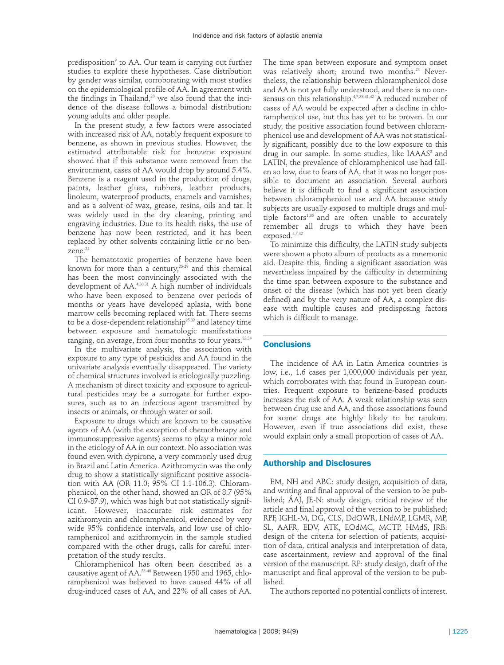predisposition<sup>9</sup> to AA. Our team is carrying out further studies to explore these hypotheses. Case distribution by gender was similar, corroborating with most studies on the epidemiological profile of AA. In agreement with the findings in Thailand, $20$  we also found that the incidence of the disease follows a bimodal distribution: young adults and older people.

In the present study, a few factors were associated with increased risk of AA, notably frequent exposure to benzene, as shown in previous studies. However, the estimated attributable risk for benzene exposure showed that if this substance were removed from the environment, cases of AA would drop by around 5.4%. Benzene is a reagent used in the production of drugs, paints, leather glues, rubbers, leather products, linoleum, waterproof products, enamels and varnishes, and as a solvent of wax, grease, resins, oils and tar. It was widely used in the dry cleaning, printing and engraving industries. Due to its health risks, the use of benzene has now been restricted, and it has been replaced by other solvents containing little or no benzene.<sup>24</sup>

The hematotoxic properties of benzene have been known for more than a century, $25-29$  and this chemical has been the most convincingly associated with the development of AA.4,30,31 A high number of individuals who have been exposed to benzene over periods of months or years have developed aplasia, with bone marrow cells becoming replaced with fat. There seems to be a dose-dependent relationship<sup>25,32</sup> and latency time between exposure and hematologic manifestations ranging, on average, from four months to four years.<sup>33,34</sup>

In the multivariate analysis, the association with exposure to any type of pesticides and AA found in the univariate analysis eventually disappeared. The variety of chemical structures involved is etiologically puzzling. A mechanism of direct toxicity and exposure to agricultural pesticides may be a surrogate for further exposures, such as to an infectious agent transmitted by insects or animals, or through water or soil.

Exposure to drugs which are known to be causative agents of AA (with the exception of chemotherapy and immunosuppressive agents) seems to play a minor role in the etiology of AA in our context. No association was found even with dypirone, a very commonly used drug in Brazil and Latin America. Azithromycin was the only drug to show a statistically significant positive association with AA (OR 11.0; 95% CI 1.1-106.3). Chloramphenicol, on the other hand, showed an OR of 8.7 (95% CI 0.9-87.9), which was high but not statistically significant. However, inaccurate risk estimates for azithromycin and chloramphenicol, evidenced by very wide 95% confidence intervals, and low use of chloramphenicol and azithromycin in the sample studied compared with the other drugs, calls for careful interpretation of the study results.

Chloramphenicol has often been described as a causative agent of AA.35-40 Between 1950 and 1965, chloramphenicol was believed to have caused 44% of all drug-induced cases of AA, and 22% of all cases of AA. The time span between exposure and symptom onset was relatively short; around two months.<sup>24</sup> Nevertheless, the relationship between chloramphenicol dose and AA is not yet fully understood, and there is no consensus on this relationship.4,7,38,41,42 A reduced number of cases of AA would be expected after a decline in chloramphenicol use, but this has yet to be proven. In our study, the positive association found between chloramphenicol use and development of AA was not statistically significant, possibly due to the low exposure to this drug in our sample. In some studies, like IAAAS<sup>2</sup> and LATIN, the prevalence of chloramphenicol use had fallen so low, due to fears of AA, that it was no longer possible to document an association. Several authors believe it is difficult to find a significant association between chloramphenicol use and AA because study subjects are usually exposed to multiple drugs and multiple factors $1,35$  and are often unable to accurately remember all drugs to which they have been exposed.4,7,42

To minimize this difficulty, the LATIN study subjects were shown a photo album of products as a mnemonic aid. Despite this, finding a significant association was nevertheless impaired by the difficulty in determining the time span between exposure to the substance and onset of the disease (which has not yet been clearly defined) and by the very nature of AA, a complex disease with multiple causes and predisposing factors which is difficult to manage.

# **Conclusions**

The incidence of AA in Latin America countries is low, i.e., 1.6 cases per 1,000,000 individuals per year, which corroborates with that found in European countries. Frequent exposure to benzene-based products increases the risk of AA. A weak relationship was seen between drug use and AA, and those associations found for some drugs are highly likely to be random. However, even if true associations did exist, these would explain only a small proportion of cases of AA.

## **Authorship and Disclosures**

EM, NH and ABC: study design, acquisition of data, and writing and final approval of the version to be published; ÁAJ, JE-N: study design, critical review of the article and final approval of the version to be published; RPF, IGHL-M, DG, CLS, DdOWR, LNdMP, LGMR, MP, SL, AAFR, EDV, ATK, EOdMC, MCTP, HMdS, JRB: design of the criteria for selection of patients, acquisition of data, critical analysis and interpretation of data, case ascertainment, review and approval of the final version of the manuscript. RP: study design, draft of the manuscript and final approval of the version to be published.

The authors reported no potential conflicts of interest.